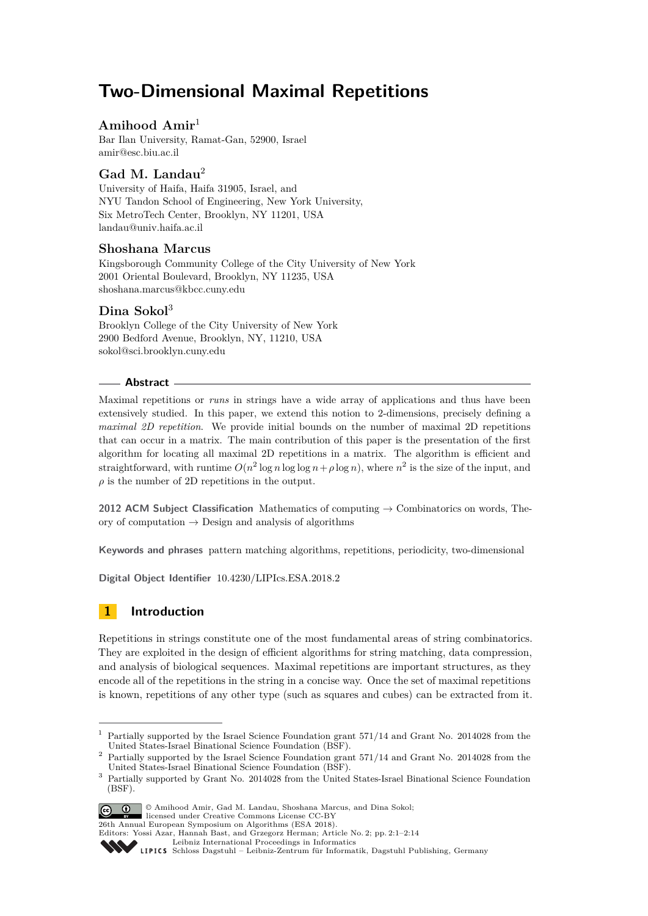# **Two-Dimensional Maximal Repetitions**

## **Amihood Amir**<sup>1</sup>

Bar Ilan University, Ramat-Gan, 52900, Israel [amir@esc.biu.ac.il](mailto:amir@esc.biu.ac.il)

# **Gad M. Landau**<sup>2</sup>

University of Haifa, Haifa 31905, Israel, and NYU Tandon School of Engineering, New York University, Six MetroTech Center, Brooklyn, NY 11201, USA [landau@univ.haifa.ac.il](mailto:landau@univ.haifa.ac.il)

### **Shoshana Marcus**

Kingsborough Community College of the City University of New York 2001 Oriental Boulevard, Brooklyn, NY 11235, USA [shoshana.marcus@kbcc.cuny.edu](mailto:shoshana.marcus@kbcc.cuny.edu)

### **Dina Sokol**<sup>3</sup>

Brooklyn College of the City University of New York 2900 Bedford Avenue, Brooklyn, NY, 11210, USA [sokol@sci.brooklyn.cuny.edu](mailto:sokol@sci.brooklyn.cuny.edu)

#### **Abstract**

Maximal repetitions or *runs* in strings have a wide array of applications and thus have been extensively studied. In this paper, we extend this notion to 2-dimensions, precisely defining a *maximal 2D repetition*. We provide initial bounds on the number of maximal 2D repetitions that can occur in a matrix. The main contribution of this paper is the presentation of the first algorithm for locating all maximal 2D repetitions in a matrix. The algorithm is efficient and straightforward, with runtime  $O(n^2 \log n \log \log n + \rho \log n)$ , where  $n^2$  is the size of the input, and  $\rho$  is the number of 2D repetitions in the output.

**2012 ACM Subject Classification** Mathematics of computing → Combinatorics on words, Theory of computation  $\rightarrow$  Design and analysis of algorithms

**Keywords and phrases** pattern matching algorithms, repetitions, periodicity, two-dimensional

**Digital Object Identifier** [10.4230/LIPIcs.ESA.2018.2](http://dx.doi.org/10.4230/LIPIcs.ESA.2018.2)

# **1 Introduction**

Repetitions in strings constitute one of the most fundamental areas of string combinatorics. They are exploited in the design of efficient algorithms for string matching, data compression, and analysis of biological sequences. Maximal repetitions are important structures, as they encode all of the repetitions in the string in a concise way. Once the set of maximal repetitions is known, repetitions of any other type (such as squares and cubes) can be extracted from it.

<sup>3</sup> Partially supported by Grant No. 2014028 from the United States-Israel Binational Science Foundation (BSF).



<sup>©</sup> Amihood Amir, Gad M. Landau, Shoshana Marcus, and Dina Sokol; licensed under Creative Commons License CC-BY

26th Annual European Symposium on Algorithms (ESA 2018).

<sup>&</sup>lt;sup>1</sup> Partially supported by the Israel Science Foundation grant 571/14 and Grant No. 2014028 from the United States-Israel Binational Science Foundation (BSF).

<sup>&</sup>lt;sup>2</sup> Partially supported by the Israel Science Foundation grant 571/14 and Grant No. 2014028 from the United States-Israel Binational Science Foundation (BSF).

Editors: Yossi Azar, Hannah Bast, and Grzegorz Herman; Article No. 2; pp. 2:1–2[:14](#page-13-0)

[Leibniz International Proceedings in Informatics](http://www.dagstuhl.de/lipics/)

SCHLOSS Dagstuhl – Leibniz-Zentrum für Informatik, Dagstuhl Publishing, Germany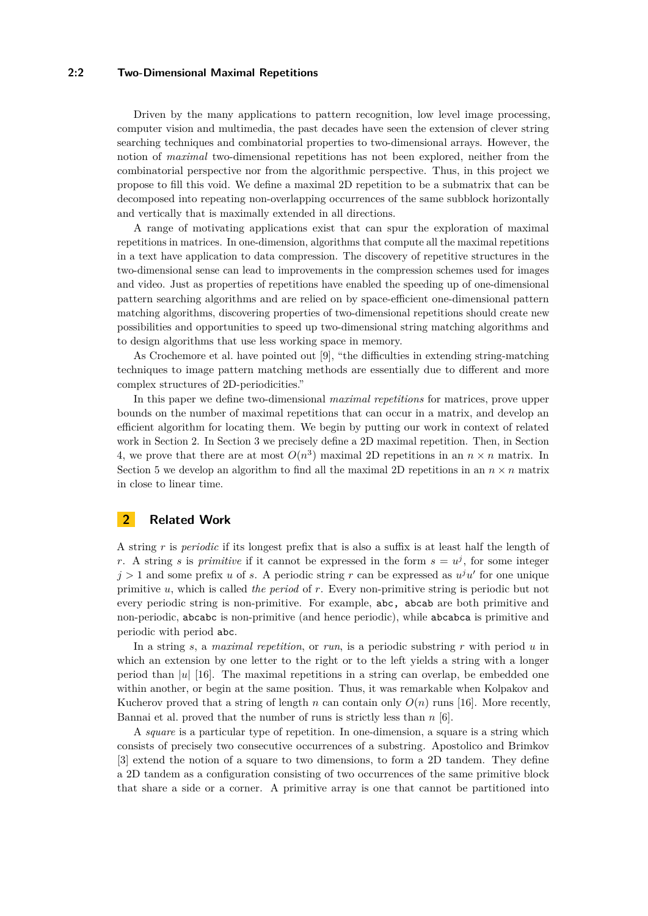#### **2:2 Two-Dimensional Maximal Repetitions**

Driven by the many applications to pattern recognition, low level image processing, computer vision and multimedia, the past decades have seen the extension of clever string searching techniques and combinatorial properties to two-dimensional arrays. However, the notion of *maximal* two-dimensional repetitions has not been explored, neither from the combinatorial perspective nor from the algorithmic perspective. Thus, in this project we propose to fill this void. We define a maximal 2D repetition to be a submatrix that can be decomposed into repeating non-overlapping occurrences of the same subblock horizontally and vertically that is maximally extended in all directions.

A range of motivating applications exist that can spur the exploration of maximal repetitions in matrices. In one-dimension, algorithms that compute all the maximal repetitions in a text have application to data compression. The discovery of repetitive structures in the two-dimensional sense can lead to improvements in the compression schemes used for images and video. Just as properties of repetitions have enabled the speeding up of one-dimensional pattern searching algorithms and are relied on by space-efficient one-dimensional pattern matching algorithms, discovering properties of two-dimensional repetitions should create new possibilities and opportunities to speed up two-dimensional string matching algorithms and to design algorithms that use less working space in memory.

As Crochemore et al. have pointed out [\[9\]](#page-12-0), "the difficulties in extending string-matching techniques to image pattern matching methods are essentially due to different and more complex structures of 2D-periodicities."

In this paper we define two-dimensional *maximal repetitions* for matrices, prove upper bounds on the number of maximal repetitions that can occur in a matrix, and develop an efficient algorithm for locating them. We begin by putting our work in context of related work in Section [2.](#page-1-0) In Section [3](#page-2-0) we precisely define a 2D maximal repetition. Then, in Section [4,](#page-4-0) we prove that there are at most  $O(n^3)$  maximal 2D repetitions in an  $n \times n$  matrix. In Section [5](#page-5-0) we develop an algorithm to find all the maximal 2D repetitions in an  $n \times n$  matrix in close to linear time.

### <span id="page-1-0"></span>**2 Related Work**

A string *r* is *periodic* if its longest prefix that is also a suffix is at least half the length of *r*. A string *s* is *primitive* if it cannot be expressed in the form  $s = u^j$ , for some integer  $j > 1$  and some prefix *u* of *s*. A periodic string *r* can be expressed as  $u^j u'$  for one unique primitive *u*, which is called *the period* of *r*. Every non-primitive string is periodic but not every periodic string is non-primitive. For example, abc, abcab are both primitive and non-periodic, abcabc is non-primitive (and hence periodic), while abcabca is primitive and periodic with period abc.

In a string *s*, a *maximal repetition*, or *run*, is a periodic substring *r* with period *u* in which an extension by one letter to the right or to the left yields a string with a longer period than  $|u|$  [\[16\]](#page-13-1). The maximal repetitions in a string can overlap, be embedded one within another, or begin at the same position. Thus, it was remarkable when Kolpakov and Kucherov proved that a string of length *n* can contain only  $O(n)$  runs [\[16\]](#page-13-1). More recently, Bannai et al. proved that the number of runs is strictly less than *n* [\[6\]](#page-12-1).

A *square* is a particular type of repetition. In one-dimension, a square is a string which consists of precisely two consecutive occurrences of a substring. Apostolico and Brimkov [\[3\]](#page-12-2) extend the notion of a square to two dimensions, to form a 2D tandem. They define a 2D tandem as a configuration consisting of two occurrences of the same primitive block that share a side or a corner. A primitive array is one that cannot be partitioned into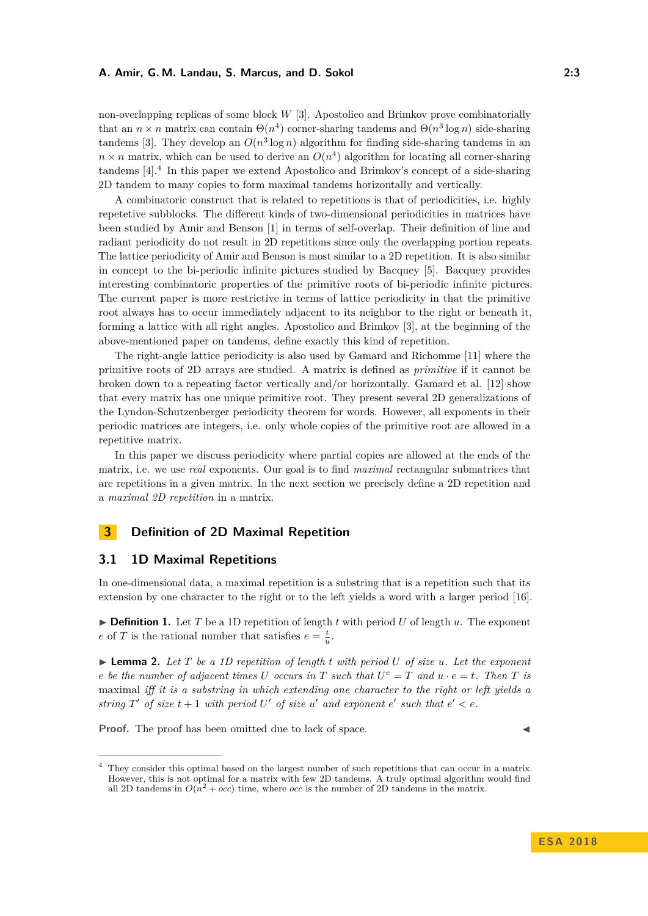non-overlapping replicas of some block *W* [\[3\]](#page-12-2). Apostolico and Brimkov prove combinatorially that an  $n \times n$  matrix can contain  $\Theta(n^4)$  corner-sharing tandems and  $\Theta(n^3 \log n)$  side-sharing tandems [\[3\]](#page-12-2). They develop an  $O(n^3 \log n)$  algorithm for finding side-sharing tandems in an  $n \times n$  matrix, which can be used to derive an  $O(n^4)$  algorithm for locating all corner-sharing tandems [\[4\]](#page-12-3).[4](#page-2-1) In this paper we extend Apostolico and Brimkov's concept of a side-sharing 2D tandem to many copies to form maximal tandems horizontally and vertically.

A combinatoric construct that is related to repetitions is that of periodicities, i.e. highly repetetive subblocks. The different kinds of two-dimensional periodicities in matrices have been studied by Amir and Benson [\[1\]](#page-12-4) in terms of self-overlap. Their definition of line and radiant periodicity do not result in 2D repetitions since only the overlapping portion repeats. The lattice periodicity of Amir and Benson is most similar to a 2D repetition. It is also similar in concept to the bi-periodic infinite pictures studied by Bacquey [\[5\]](#page-12-5). Bacquey provides interesting combinatoric properties of the primitive roots of bi-periodic infinite pictures. The current paper is more restrictive in terms of lattice periodicity in that the primitive root always has to occur immediately adjacent to its neighbor to the right or beneath it, forming a lattice with all right angles. Apostolico and Brimkov [\[3\]](#page-12-2), at the beginning of the above-mentioned paper on tandems, define exactly this kind of repetition.

The right-angle lattice periodicity is also used by Gamard and Richomme [\[11\]](#page-12-6) where the primitive roots of 2D arrays are studied. A matrix is defined as *primitive* if it cannot be broken down to a repeating factor vertically and/or horizontally. Gamard et al. [\[12\]](#page-12-7) show that every matrix has one unique primitive root. They present several 2D generalizations of the Lyndon-Schutzenberger periodicity theorem for words. However, all exponents in their periodic matrices are integers, i.e. only whole copies of the primitive root are allowed in a repetitive matrix.

In this paper we discuss periodicity where partial copies are allowed at the ends of the matrix, i.e. we use *real* exponents. Our goal is to find *maximal* rectangular submatrices that are repetitions in a given matrix. In the next section we precisely define a 2D repetition and a *maximal 2D repetition* in a matrix.

### <span id="page-2-0"></span>**3 Definition of 2D Maximal Repetition**

#### **3.1 1D Maximal Repetitions**

In one-dimensional data, a maximal repetition is a substring that is a repetition such that its extension by one character to the right or to the left yields a word with a larger period [\[16\]](#page-13-1).

 $\triangleright$  **Definition 1.** Let *T* be a 1D repetition of length *t* with period *U* of length *u*. The exponent *e* of *T* is the rational number that satisfies  $e = \frac{t}{u}$ .

 $\blacktriangleright$  **Lemma 2.** Let T be a 1D repetition of length *t* with period U of size *u*. Let the exponent *e be the number of adjacent times U occurs in T such that*  $U^e = T$  *and*  $u \cdot e = t$ *. Then T is* maximal *iff it is a substring in which extending one character to the right or left yields a string*  $T'$  *of size*  $t + 1$  *with period*  $U'$  *of size*  $u'$  *and exponent*  $e'$  *such that*  $e' < e$ *.* 

**Proof.** The proof has been omitted due to lack of space.

<span id="page-2-1"></span><sup>4</sup> They consider this optimal based on the largest number of such repetitions that can occur in a matrix. However, this is not optimal for a matrix with few 2D tandems. A truly optimal algorithm would find all 2D tandems in  $O(n^2 + occ)$  time, where *occ* is the number of 2D tandems in the matrix.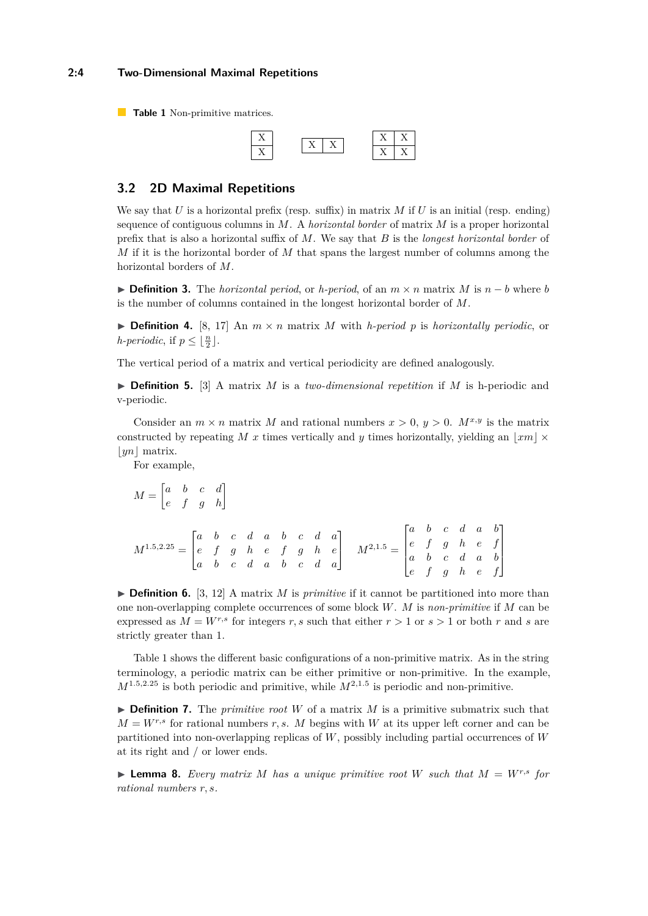<span id="page-3-0"></span>**Table 1** Non-primitive matrices.



#### **3.2 2D Maximal Repetitions**

We say that *U* is a horizontal prefix (resp. suffix) in matrix *M* if *U* is an initial (resp. ending) sequence of contiguous columns in *M*. A *horizontal border* of matrix *M* is a proper horizontal prefix that is also a horizontal suffix of *M*. We say that *B* is the *longest horizontal border* of *M* if it is the horizontal border of *M* that spans the largest number of columns among the horizontal borders of *M*.

**► Definition 3.** The *horizontal period*, or *h-period*, of an  $m \times n$  matrix *M* is  $n - b$  where *b* is the number of columns contained in the longest horizontal border of *M*.

 $\triangleright$  **Definition 4.** [\[8,](#page-12-8) [17\]](#page-13-2) An  $m \times n$  matrix *M* with *h-period p* is *horizontally periodic*, or *h*-periodic, if  $p \leq \lfloor \frac{n}{2} \rfloor$ .

The vertical period of a matrix and vertical periodicity are defined analogously.

▶ **Definition 5.** [\[3\]](#page-12-2) A matrix *M* is a *two-dimensional repetition* if *M* is h-periodic and v-periodic.

Consider an  $m \times n$  matrix M and rational numbers  $x > 0$ ,  $y > 0$ .  $M^{x,y}$  is the matrix constructed by repeating *M x* times vertically and *y* times horizontally, yielding an  $\vert xm \vert \times$  $|yn|$  matrix.

For example,

$$
M = \begin{bmatrix} a & b & c & d \\ e & f & g & h \end{bmatrix}
$$
  

$$
M^{1.5,2.25} = \begin{bmatrix} a & b & c & d & a & b & c & d & a \\ e & f & g & h & e & f & g & h & e \\ a & b & c & d & a & b & c & d & a \end{bmatrix} \quad M^{2,1.5} = \begin{bmatrix} a & b & c & d & a & b \\ e & f & g & h & e & f \\ a & b & c & d & a & b \\ e & f & g & h & e & f \end{bmatrix}
$$

 $\triangleright$  **Definition 6.** [\[3,](#page-12-2) [12\]](#page-12-7) A matrix *M* is *primitive* if it cannot be partitioned into more than one non-overlapping complete occurrences of some block *W*. *M* is *non-primitive* if *M* can be expressed as  $M = W^{r,s}$  for integers *r*, *s* such that either  $r > 1$  or  $s > 1$  or both *r* and *s* are strictly greater than 1.

Table [1](#page-3-0) shows the different basic configurations of a non-primitive matrix. As in the string terminology, a periodic matrix can be either primitive or non-primitive. In the example,  $M^{1.5,2.25}$  is both periodic and primitive, while  $M^{2,1.5}$  is periodic and non-primitive.

 $\triangleright$  **Definition 7.** The *primitive root W* of a matrix *M* is a primitive submatrix such that  $M = W^{r,s}$  for rational numbers *r, s. M* begins with *W* at its upper left corner and can be partitioned into non-overlapping replicas of *W*, possibly including partial occurrences of *W* at its right and / or lower ends.

 $\triangleright$  **Lemma 8.** Every matrix M has a unique primitive root W such that  $M = W^{r,s}$  for *rational numbers r, s.*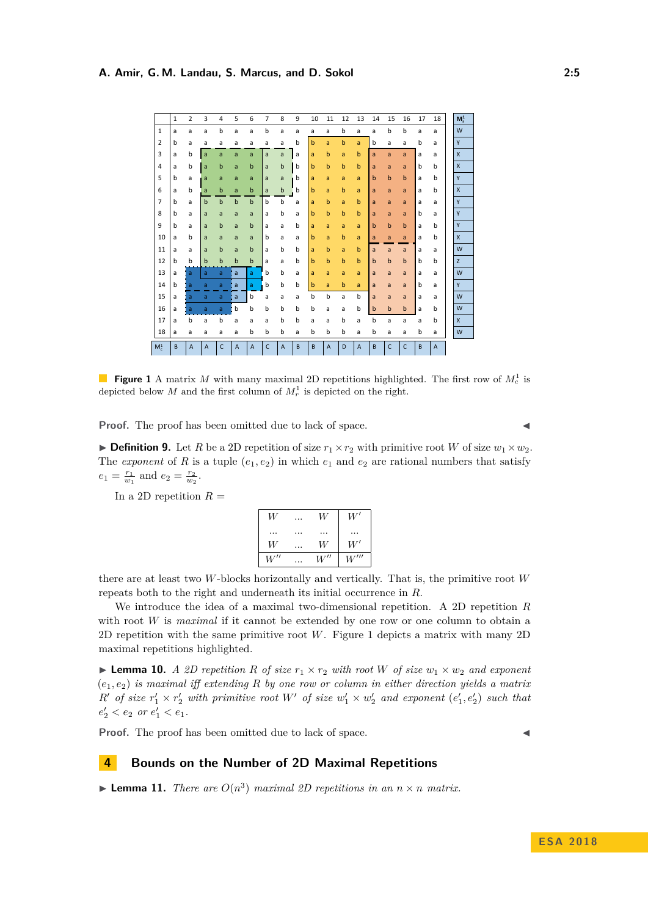<span id="page-4-1"></span>

|                | $\mathbf{1}$ | $\overline{2}$            | 3           | 4            | 5           | 6              | $\overline{7}$ | 8              | 9 | 10 | 11                        | 12          | 13             | 14          | 15           | 16           | 17 | 18             | $M_r^1$      |
|----------------|--------------|---------------------------|-------------|--------------|-------------|----------------|----------------|----------------|---|----|---------------------------|-------------|----------------|-------------|--------------|--------------|----|----------------|--------------|
| 1              | a            | a                         | a           | b            | a           | a              | b              | a              | a | a  | a                         | b           | a              | a           | b            | b            | a  | a              | W            |
| $\overline{2}$ | b            | a                         | a           | a            | a           | a              | a              | a              | b | b  | a                         | b           | a              | b           | a            | a            | b  | a              | Y            |
| 3              | a            | b                         | a           | a            | a           | a              | a              | a              | a | a  | $\mathbf b$               | a           | $\mathbf b$    | a           | a            | a            | a  | a              | X            |
| 4              | a            | b                         | a           | $\mathbf b$  | a           | $\mathbf b$    | a              | $\mathsf b$    | b | b  | $\mathbf b$               | b           | $\mathbf b$    | a           | a            | a            | b  | b              | X            |
| 5              | b            | a                         | a           | a            | a           | a              | a              | a              | b | a  | a                         | a           | a              | $\mathbf b$ | $\mathbf b$  | $\mathbf b$  | a  | b              | Y            |
| 6              | a            | b                         | a           | $\mathbf b$  | a           | b              | a              | b              | b | b  | a                         | b           | a              | a           | a            | a            | a  | b              | X            |
| $\overline{7}$ | b            | a                         | $\mathbf b$ | $\mathsf b$  | $\mathbf b$ | $\mathsf b$    | b              | $\mathsf b$    | a | a  | $\mathbf b$               | a           | $\mathbf b$    | a           | a            | a            | a  | a              | Y            |
| 8              | b            | a                         | a           | a            | a           | a              | a              | b              | a | b  | $\mathbf b$               | b           | b              | a           | a            | a            | b  | a              | Y            |
| 9              | b            | a                         | a           | $\mathbf b$  | a           | $\mathbf b$    | a              | a              | b | a  | a                         | a           | a              | $\mathbf b$ | $\mathbf b$  | $\mathbf b$  | a  | b              | Y            |
| 10             | a            | b                         | a           | a            | a           | a              | b              | a              | a | b  | a                         | $\mathbf b$ | a              | a           | a            | a            | a  | b              | $\mathsf{x}$ |
| 11             | a            | a                         | a           | $\mathbf b$  | a           | $\mathbf b$    | a              | b              | b | a  | $\mathbf b$               | a           | $\mathbf b$    | a           | a            | a            | a  | a              | W            |
| 12             | b            | b                         | $\mathbf b$ | $\mathbf b$  | b           | $\mathbf b$    | a              | a              | b | b  | $\mathbf b$               | $\mathbf b$ | $\mathsf b$    | $\mathbf b$ | $\mathsf{b}$ | $\mathbf b$  | b  | b              | Z            |
| 13             | a            | a                         | a           | a            | a           | a              | b              | b              | a | a  | a                         | a           | a              | a           | a            | a            | a  | a              | W            |
| 14             | b            | a                         | a           | a            | a           | a              | b              | b              | b | b  | a                         | b           | a              | a           | a            | a            | b  | a              | Y            |
| 15             | a            | a                         | a           | a            | a           | b              | a              | a              | a | b  | b                         | a           | b              | a           | a            | a            | a  | a              | W            |
| 16             | a            | a                         | a           | a            | b           | b              | b              | b              | b | b  | a                         | a           | b              | $\mathbf b$ | $\mathsf b$  | $\mathsf b$  | a  | b              | W            |
| 17             | a            | b                         | a           | b            | a           | a              | a              | b              | b | a  | a                         | b           | a              | b           | a            | a            | a  | b              | $\mathsf{x}$ |
| 18             | a            | a                         | a           | a            | a           | b              | b              | b              | а | b  | b                         | b           | a              | b           | a            | a            | b  | a              | W            |
| $M_c^1$        | B            | $\boldsymbol{\mathsf{A}}$ | $\mathsf A$ | $\mathsf{C}$ | A           | $\overline{A}$ | $\mathsf{C}$   | $\overline{A}$ | B | B  | $\boldsymbol{\mathsf{A}}$ | D           | $\overline{A}$ | B           | $\mathsf C$  | $\mathsf{C}$ | B  | $\overline{A}$ |              |

**Figure 1** A matrix *M* with many maximal 2D repetitions highlighted. The first row of  $M_c^1$  is depicted below *M* and the first column of  $M_r^1$  is depicted on the right.

**Proof.** The proof has been omitted due to lack of space.

**Definition 9.** Let *R* be a 2D repetition of size  $r_1 \times r_2$  with primitive root *W* of size  $w_1 \times w_2$ . The *exponent* of *R* is a tuple  $(e_1, e_2)$  in which  $e_1$  and  $e_2$  are rational numbers that satisfy  $e_1 = \frac{r_1}{w_1}$  and  $e_2 = \frac{r_2}{w_2}$ .

In a 2D repetition  $R =$ 

| W   | $\cdots$ | W   | W'         |
|-----|----------|-----|------------|
|     |          |     |            |
| W   | $\cdots$ | W   | $W^\prime$ |
| W'' | .        | W'' | W'''       |

there are at least two *W*-blocks horizontally and vertically. That is, the primitive root *W* repeats both to the right and underneath its initial occurrence in *R*.

We introduce the idea of a maximal two-dimensional repetition. A 2D repetition *R* with root *W* is *maximal* if it cannot be extended by one row or one column to obtain a 2D repetition with the same primitive root *W*. Figure [1](#page-4-1) depicts a matrix with many 2D maximal repetitions highlighted.

**Example 10.** A 2D repetition R of size  $r_1 \times r_2$  with root W of size  $w_1 \times w_2$  and exponent (*e*1*, e*2) *is maximal iff extending R by one row or column in either direction yields a matrix*  $R'$  *of size*  $r'_1 \times r'_2$  *with primitive root*  $W'$  *of size*  $w'_1 \times w'_2$  *and exponent*  $(e'_1, e'_2)$  *such that*  $e'_2 < e_2$  *or*  $e'_1 < e_1$ .

**Proof.** The proof has been omitted due to lack of space.

#### <span id="page-4-0"></span>**4 Bounds on the Number of 2D Maximal Repetitions**

**Example 11.** *There are*  $O(n^3)$  *maximal 2D repetitions in an*  $n \times n$  *matrix.*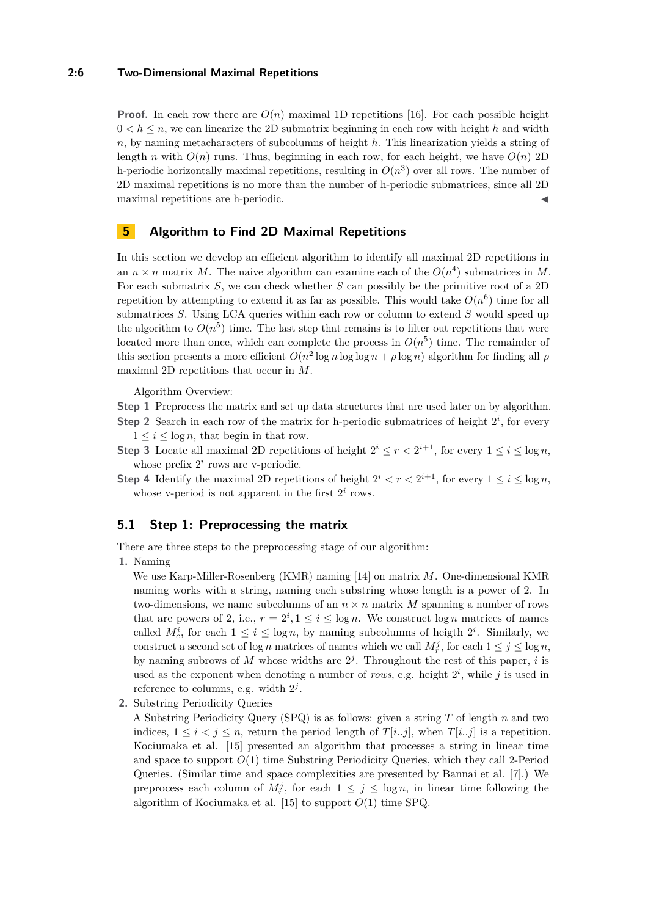#### **2:6 Two-Dimensional Maximal Repetitions**

**Proof.** In each row there are  $O(n)$  maximal 1D repetitions [\[16\]](#page-13-1). For each possible height  $0 < h \le n$ , we can linearize the 2D submatrix beginning in each row with height h and width *n*, by naming metacharacters of subcolumns of height *h*. This linearization yields a string of length *n* with  $O(n)$  runs. Thus, beginning in each row, for each height, we have  $O(n)$  2D h-periodic horizontally maximal repetitions, resulting in  $O(n^3)$  over all rows. The number of 2D maximal repetitions is no more than the number of h-periodic submatrices, since all 2D maximal repetitions are h-periodic.

### <span id="page-5-0"></span>**5 Algorithm to Find 2D Maximal Repetitions**

In this section we develop an efficient algorithm to identify all maximal 2D repetitions in an  $n \times n$  matrix *M*. The naive algorithm can examine each of the  $O(n^4)$  submatrices in *M*. For each submatrix *S*, we can check whether *S* can possibly be the primitive root of a 2D repetition by attempting to extend it as far as possible. This would take  $O(n^6)$  time for all submatrices *S*. Using LCA queries within each row or column to extend *S* would speed up the algorithm to  $O(n^5)$  time. The last step that remains is to filter out repetitions that were located more than once, which can complete the process in  $O(n^5)$  time. The remainder of this section presents a more efficient  $O(n^2 \log n \log \log n + \rho \log n)$  algorithm for finding all  $\rho$ maximal 2D repetitions that occur in *M*.

Algorithm Overview:

**Step 1** Preprocess the matrix and set up data structures that are used later on by algorithm. **Step 2** Search in each row of the matrix for h-periodic submatrices of height  $2^i$ , for every

- $1 \leq i \leq \log n$ , that begin in that row.
- **Step 3** Locate all maximal 2D repetitions of height  $2^i \leq r < 2^{i+1}$ , for every  $1 \leq i \leq \log n$ , whose prefix  $2^i$  rows are v-periodic.
- **Step 4** Identify the maximal 2D repetitions of height  $2^{i} < r < 2^{i+1}$ , for every  $1 \leq i \leq \log n$ , whose v-period is not apparent in the first  $2^i$  rows.

#### <span id="page-5-1"></span>**5.1 Step 1: Preprocessing the matrix**

There are three steps to the preprocessing stage of our algorithm:

**1.** Naming

We use Karp-Miller-Rosenberg (KMR) naming [\[14\]](#page-12-9) on matrix *M*. One-dimensional KMR naming works with a string, naming each substring whose length is a power of 2. In two-dimensions, we name subcolumns of an  $n \times n$  matrix M spanning a number of rows that are powers of 2, i.e.,  $r = 2^i, 1 \leq i \leq \log n$ . We construct  $\log n$  matrices of names called  $M_c^i$ , for each  $1 \leq i \leq \log n$ , by naming subcolumns of heigth  $2^i$ . Similarly, we construct a second set of log *n* matrices of names which we call  $M_r^j$ , for each  $1 \leq j \leq \log n$ , by naming subrows of M whose widths are  $2<sup>j</sup>$ . Throughout the rest of this paper, *i* is used as the exponent when denoting a number of *rows*, e.g. height  $2^i$ , while j is used in reference to columns, e.g. width  $2^j$ .

**2.** Substring Periodicity Queries

A Substring Periodicity Query (SPQ) is as follows: given a string *T* of length *n* and two indices,  $1 \leq i \leq j \leq n$ , return the period length of  $T[i..j]$ , when  $T[i..j]$  is a repetition. Kociumaka et al. [\[15\]](#page-13-3) presented an algorithm that processes a string in linear time and space to support *O*(1) time Substring Periodicity Queries, which they call 2-Period Queries. (Similar time and space complexities are presented by Bannai et al. [\[7\]](#page-12-10).) We preprocess each column of  $M_r^j$ , for each  $1 \leq j \leq \log n$ , in linear time following the algorithm of Kociumaka et al. [\[15\]](#page-13-3) to support *O*(1) time SPQ.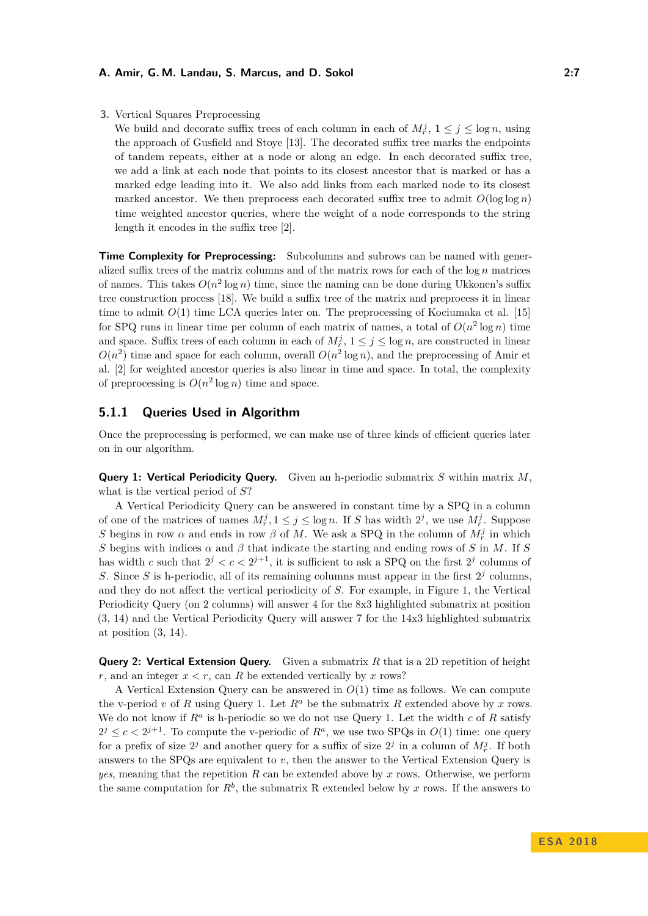**3.** Vertical Squares Preprocessing

We build and decorate suffix trees of each column in each of  $M_r^j$ ,  $1 \le j \le \log n$ , using the approach of Gusfield and Stoye [\[13\]](#page-12-11). The decorated suffix tree marks the endpoints of tandem repeats, either at a node or along an edge. In each decorated suffix tree, we add a link at each node that points to its closest ancestor that is marked or has a marked edge leading into it. We also add links from each marked node to its closest marked ancestor. We then preprocess each decorated suffix tree to admit  $O(\log \log n)$ time weighted ancestor queries, where the weight of a node corresponds to the string length it encodes in the suffix tree [\[2\]](#page-12-12).

**Time Complexity for Preprocessing:** Subcolumns and subrows can be named with generalized suffix trees of the matrix columns and of the matrix rows for each of the log *n* matrices of names. This takes  $O(n^2 \log n)$  time, since the naming can be done during Ukkonen's suffix tree construction process [\[18\]](#page-13-4). We build a suffix tree of the matrix and preprocess it in linear time to admit  $O(1)$  time LCA queries later on. The preprocessing of Kociumaka et al. [\[15\]](#page-13-3) for SPQ runs in linear time per column of each matrix of names, a total of  $O(n^2 \log n)$  time and space. Suffix trees of each column in each of  $M_r^j$ ,  $1 \le j \le \log n$ , are constructed in linear  $O(n^2)$  time and space for each column, overall  $O(n^2 \log n)$ , and the preprocessing of Amir et al. [\[2\]](#page-12-12) for weighted ancestor queries is also linear in time and space. In total, the complexity of preprocessing is  $O(n^2 \log n)$  time and space.

### **5.1.1 Queries Used in Algorithm**

Once the preprocessing is performed, we can make use of three kinds of efficient queries later on in our algorithm.

**Query 1: Vertical Periodicity Query.** Given an h-periodic submatrix *S* within matrix *M*, what is the vertical period of *S*?

A Vertical Periodicity Query can be answered in constant time by a SPQ in a column of one of the matrices of names  $M_r^j, 1 \leq j \leq \log n$ . If *S* has width  $2^j$ , we use  $M_r^j$ . Suppose *S* begins in row  $\alpha$  and ends in row  $\beta$  of *M*. We ask a SPQ in the column of  $M_r^j$  in which *S* begins with indices  $\alpha$  and  $\beta$  that indicate the starting and ending rows of *S* in *M*. If *S* has width *c* such that  $2^{j} < c < 2^{j+1}$ , it is sufficient to ask a SPQ on the first  $2^{j}$  columns of S. Since S is h-periodic, all of its remaining columns must appear in the first  $2<sup>j</sup>$  columns, and they do not affect the vertical periodicity of *S*. For example, in Figure [1,](#page-4-1) the Vertical Periodicity Query (on 2 columns) will answer 4 for the 8x3 highlighted submatrix at position (3, 14) and the Vertical Periodicity Query will answer 7 for the 14x3 highlighted submatrix at position (3, 14).

**Query 2: Vertical Extension Query.** Given a submatrix R that is a 2D repetition of height *r*, and an integer  $x < r$ , can *R* be extended vertically by *x* rows?

A Vertical Extension Query can be answered in *O*(1) time as follows. We can compute the v-period *v* of R using Query 1. Let  $R^a$  be the submatrix R extended above by x rows. We do not know if  $R^a$  is h-periodic so we do not use Query 1. Let the width  $c$  of  $R$  satisfy  $2^{j} \leq c < 2^{j+1}$ . To compute the v-periodic of  $R^a$ , we use two SPQs in  $O(1)$  time: one query for a prefix of size  $2^j$  and another query for a suffix of size  $2^j$  in a column of  $M_r^j$ . If both answers to the SPQs are equivalent to *v*, then the answer to the Vertical Extension Query is *yes*, meaning that the repetition *R* can be extended above by *x* rows. Otherwise, we perform the same computation for  $R^b$ , the submatrix R extended below by x rows. If the answers to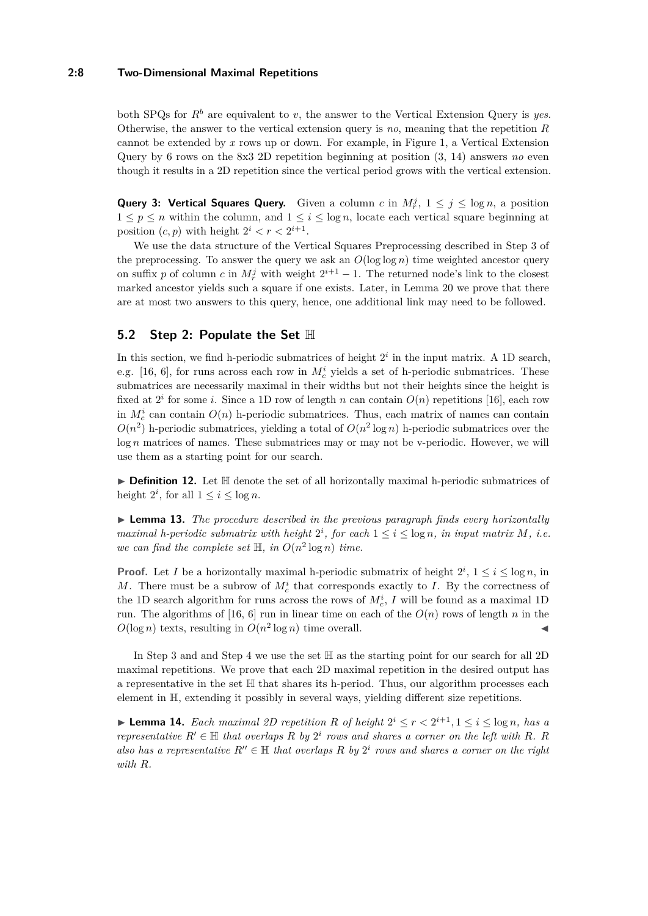#### **2:8 Two-Dimensional Maximal Repetitions**

both SPQs for  $R^b$  are equivalent to *v*, the answer to the Vertical Extension Query is *yes*. Otherwise, the answer to the vertical extension query is *no*, meaning that the repetition *R* cannot be extended by *x* rows up or down. For example, in Figure [1,](#page-4-1) a Vertical Extension Query by 6 rows on the 8x3 2D repetition beginning at position (3, 14) answers *no* even though it results in a 2D repetition since the vertical period grows with the vertical extension.

**Query 3: Vertical Squares Query.** Given a column *c* in  $M_r^j$ ,  $1 \leq j \leq \log n$ , a position  $1 \leq p \leq n$  within the column, and  $1 \leq i \leq \log n$ , locate each vertical square beginning at position  $(c, p)$  with height  $2^i < r < 2^{i+1}$ .

We use the data structure of the Vertical Squares Preprocessing described in Step 3 of the preprocessing. To answer the query we ask an  $O(\log \log n)$  time weighted ancestor query on suffix *p* of column *c* in  $M_r^j$  with weight  $2^{i+1} - 1$ . The returned node's link to the closest marked ancestor yields such a square if one exists. Later, in Lemma [20](#page-11-0) we prove that there are at most two answers to this query, hence, one additional link may need to be followed.

### **5.2 Step 2: Populate the Set** H

In this section, we find h-periodic submatrices of height  $2<sup>i</sup>$  in the input matrix. A 1D search, e.g. [\[16,](#page-13-1) [6\]](#page-12-1), for runs across each row in  $M_c^i$  yields a set of h-periodic submatrices. These submatrices are necessarily maximal in their widths but not their heights since the height is fixed at  $2^{i}$  for some *i*. Since a 1D row of length *n* can contain  $O(n)$  repetitions [\[16\]](#page-13-1), each row in  $M_c^i$  can contain  $O(n)$  h-periodic submatrices. Thus, each matrix of names can contain  $O(n^2)$  h-periodic submatrices, yielding a total of  $O(n^2 \log n)$  h-periodic submatrices over the log *n* matrices of names. These submatrices may or may not be v-periodic. However, we will use them as a starting point for our search.

▶ Definition 12. Let H denote the set of all horizontally maximal h-periodic submatrices of height  $2^i$ , for all  $1 \leq i \leq \log n$ .

► **Lemma 13.** *The procedure described in the previous paragraph finds every horizontally maximal h-periodic submatrix with height*  $2^i$ , for each  $1 \leq i \leq \log n$ , in input matrix M, i.e. we can find the complete set  $\mathbb{H}$ , in  $O(n^2 \log n)$  time.

**Proof.** Let *I* be a horizontally maximal h-periodic submatrix of height  $2^i$ ,  $1 \le i \le \log n$ , in *M*. There must be a subrow of  $M_c^i$  that corresponds exactly to *I*. By the correctness of the 1D search algorithm for runs across the rows of  $M_c^i$ , *I* will be found as a maximal 1D run. The algorithms of [\[16,](#page-13-1) [6\]](#page-12-1) run in linear time on each of the  $O(n)$  rows of length *n* in the  $O(\log n)$  texts, resulting in  $O(n^2 \log n)$  time overall.

In Step 3 and and Step 4 we use the set H as the starting point for our search for all 2D maximal repetitions. We prove that each 2D maximal repetition in the desired output has a representative in the set H that shares its h-period. Thus, our algorithm processes each element in H, extending it possibly in several ways, yielding different size repetitions.

<span id="page-7-0"></span>▶ **Lemma 14.** *Each maximal 2D repetition R of height*  $2^{i} \leq r < 2^{i+1}$ ,  $1 \leq i \leq \log n$ , *has a representative*  $R' \in \mathbb{H}$  *that overlaps*  $R$  *by*  $2^i$  *rows and shares a corner on the left with*  $R$ *.*  $R$ *also has a representative*  $R'' \in \mathbb{H}$  *that overlaps*  $R$  *by*  $2^i$  *rows and shares a corner on the right with R.*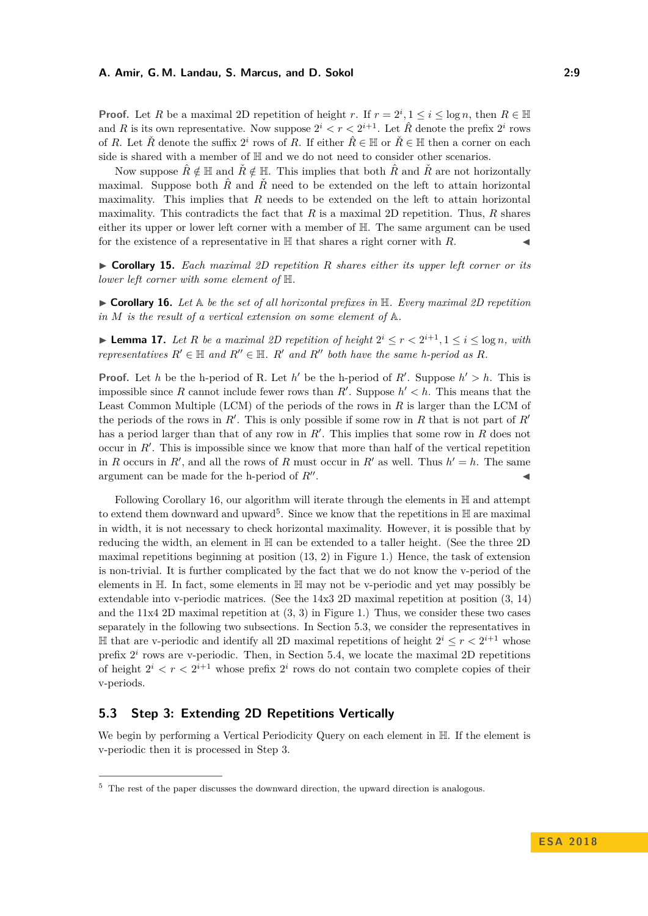**Proof.** Let *R* be a maximal 2D repetition of height *r*. If  $r = 2^i, 1 \le i \le \log n$ , then  $R \in \mathbb{H}$ and *R* is its own representative. Now suppose  $2^i < r < 2^{i+1}$ . Let  $\hat{R}$  denote the prefix  $2^i$  rows of *R*. Let  $\check{R}$  denote the suffix  $2^i$  rows of *R*. If either  $\hat{R} \in \mathbb{H}$  or  $\check{R} \in \mathbb{H}$  then a corner on each side is shared with a member of H and we do not need to consider other scenarios.

Now suppose  $\hat{R} \notin \mathbb{H}$  and  $\check{R} \notin \mathbb{H}$ . This implies that both  $\hat{R}$  and  $\check{R}$  are not horizontally maximal. Suppose both  $\hat{R}$  and  $\hat{R}$  need to be extended on the left to attain horizontal maximality. This implies that *R* needs to be extended on the left to attain horizontal maximality. This contradicts the fact that  $R$  is a maximal 2D repetition. Thus,  $R$  shares either its upper or lower left corner with a member of H. The same argument can be used for the existence of a representative in  $\mathbb H$  that shares a right corner with  $R$ .

<span id="page-8-3"></span>I **Corollary 15.** *Each maximal 2D repetition R shares either its upper left corner or its lower left corner with some element of* H*.*

<span id="page-8-0"></span> $\triangleright$  **Corollary 16.** Let  $\mathbb{A}$  be the set of all horizontal prefixes in  $\mathbb{H}$ . Every maximal 2D repetition *in M is the result of a vertical extension on some element of* A*.*

<span id="page-8-4"></span>▶ **Lemma 17.** *Let R be a maximal 2D repetition of height*  $2^{i} \leq r < 2^{i+1}$ ,  $1 \leq i \leq \log n$ , with *representatives*  $R' \in \mathbb{H}$  *and*  $R'' \in \mathbb{H}$ *.*  $R'$  *and*  $R''$  *both have the same h-period as*  $R$ *.* 

**Proof.** Let *h* be the h-period of R. Let *h*' be the h-period of *R*'. Suppose  $h' > h$ . This is impossible since *R* cannot include fewer rows than *R'*. Suppose  $h' < h$ . This means that the Least Common Multiple (LCM) of the periods of the rows in *R* is larger than the LCM of the periods of the rows in  $R'$ . This is only possible if some row in  $R$  that is not part of  $R'$ has a period larger than that of any row in  $R'$ . This implies that some row in  $R$  does not occur in  $R'$ . This is impossible since we know that more than half of the vertical repetition in *R* occurs in *R'*, and all the rows of *R* must occur in *R'* as well. Thus  $h' = h$ . The same argument can be made for the h-period of  $R''$ . . J

Following Corollary [16,](#page-8-0) our algorithm will iterate through the elements in  $\mathbb H$  and attempt to extend them downward and upward<sup>[5](#page-8-1)</sup>. Since we know that the repetitions in  $\mathbb H$  are maximal in width, it is not necessary to check horizontal maximality. However, it is possible that by reducing the width, an element in H can be extended to a taller height. (See the three 2D maximal repetitions beginning at position (13, 2) in Figure [1.](#page-4-1)) Hence, the task of extension is non-trivial. It is further complicated by the fact that we do not know the v-period of the elements in H. In fact, some elements in H may not be v-periodic and yet may possibly be extendable into v-periodic matrices. (See the 14x3 2D maximal repetition at position (3, 14) and the  $11x4$  2D maximal repetition at  $(3, 3)$  in Figure [1.](#page-4-1)) Thus, we consider these two cases separately in the following two subsections. In Section [5.3,](#page-8-2) we consider the representatives in  $\mathbb{H}$  that are v-periodic and identify all 2D maximal repetitions of height  $2^{i}$  ≤  $r$  <  $2^{i+1}$  whose prefix  $2^i$  rows are v-periodic. Then, in Section [5.4,](#page-10-0) we locate the maximal 2D repetitions of height  $2^i < r < 2^{i+1}$  whose prefix  $2^i$  rows do not contain two complete copies of their v-periods.

### <span id="page-8-2"></span>**5.3 Step 3: Extending 2D Repetitions Vertically**

We begin by performing a Vertical Periodicity Query on each element in H. If the element is v-periodic then it is processed in Step 3.

<span id="page-8-1"></span><sup>&</sup>lt;sup>5</sup> The rest of the paper discusses the downward direction, the upward direction is analogous.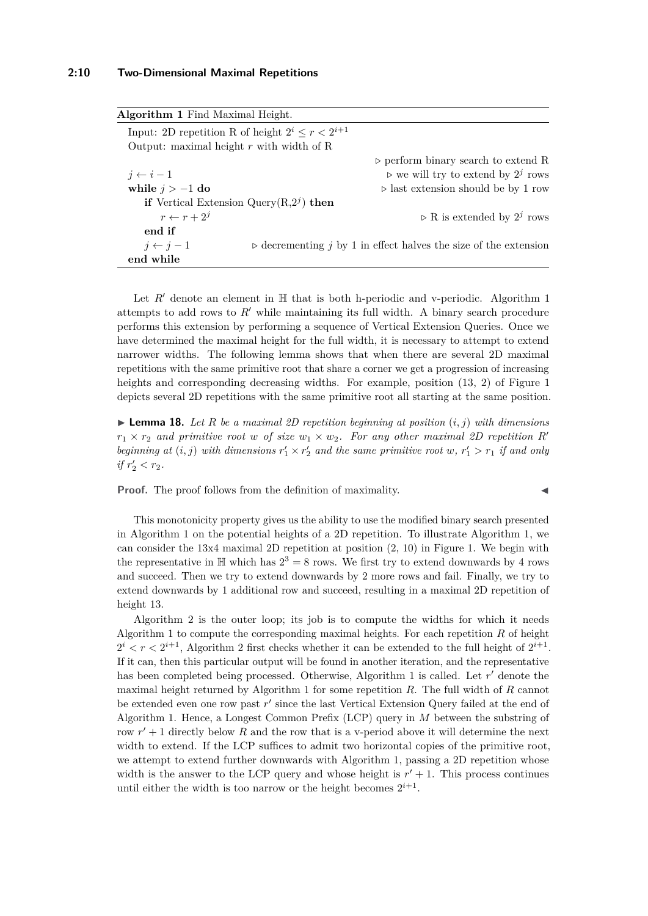<span id="page-9-0"></span>

| Algorithm 1 Find Maximal Height.                        |                                                                                 |
|---------------------------------------------------------|---------------------------------------------------------------------------------|
| Input: 2D repetition R of height $2^i \leq r < 2^{i+1}$ |                                                                                 |
| Output: maximal height $r$ with width of R              |                                                                                 |
|                                                         | $\rhd$ perform binary search to extend R                                        |
| $j \leftarrow i-1$                                      | $\triangleright$ we will try to extend by $2^j$ rows                            |
| while $j > -1$ do                                       | $\triangleright$ last extension should be by 1 row                              |
| if Vertical Extension Query $(R, 2j)$ then              |                                                                                 |
| $r \leftarrow r + 2^{j}$                                | $\triangleright$ R is extended by $2^j$ rows                                    |
| end if                                                  |                                                                                 |
| $j \leftarrow j-1$                                      | $\triangleright$ decrementing j by 1 in effect halves the size of the extension |
| end while                                               |                                                                                 |

Let  $R'$  denote an element in  $\mathbb H$  that is both h-periodic and v-periodic. Algorithm [1](#page-9-0) attempts to add rows to  $R'$  while maintaining its full width. A binary search procedure performs this extension by performing a sequence of Vertical Extension Queries. Once we have determined the maximal height for the full width, it is necessary to attempt to extend narrower widths. The following lemma shows that when there are several 2D maximal repetitions with the same primitive root that share a corner we get a progression of increasing heights and corresponding decreasing widths. For example, position  $(13, 2)$  of Figure [1](#page-4-1) depicts several 2D repetitions with the same primitive root all starting at the same position.

<span id="page-9-1"></span> $\blacktriangleright$  **Lemma 18.** Let R be a maximal 2D repetition beginning at position  $(i, j)$  with dimensions  $r_1 \times r_2$  and primitive root *w* of size  $w_1 \times w_2$ . For any other maximal 2D repetition R<sup>0</sup> beginning at  $(i, j)$  with dimensions  $r'_1 \times r'_2$  and the same primitive root  $w, r'_1 > r_1$  if and only *if*  $r'_2 < r_2$ *.* 

**Proof.** The proof follows from the definition of maximality.

This monotonicity property gives us the ability to use the modified binary search presented in Algorithm [1](#page-9-0) on the potential heights of a 2D repetition. To illustrate Algorithm [1,](#page-9-0) we can consider the 13x4 maximal 2D repetition at position (2, 10) in Figure [1.](#page-4-1) We begin with the representative in  $\mathbb H$  which has  $2^3 = 8$  rows. We first try to extend downwards by 4 rows and succeed. Then we try to extend downwards by 2 more rows and fail. Finally, we try to extend downwards by 1 additional row and succeed, resulting in a maximal 2D repetition of height 13.

Algorithm [2](#page-10-1) is the outer loop; its job is to compute the widths for which it needs Algorithm [1](#page-9-0) to compute the corresponding maximal heights. For each repetition *R* of height  $2^{i} < r < 2^{i+1}$  $2^{i} < r < 2^{i+1}$  $2^{i} < r < 2^{i+1}$ , Algorithm 2 first checks whether it can be extended to the full height of  $2^{i+1}$ . If it can, then this particular output will be found in another iteration, and the representative has been completed being processed. Otherwise, Algorithm [1](#page-9-0) is called. Let r' denote the maximal height returned by Algorithm [1](#page-9-0) for some repetition *R*. The full width of *R* cannot be extended even one row past r' since the last Vertical Extension Query failed at the end of Algorithm [1.](#page-9-0) Hence, a Longest Common Prefix (LCP) query in *M* between the substring of row  $r' + 1$  directly below R and the row that is a v-period above it will determine the next width to extend. If the LCP suffices to admit two horizontal copies of the primitive root, we attempt to extend further downwards with Algorithm [1,](#page-9-0) passing a 2D repetition whose width is the answer to the LCP query and whose height is  $r' + 1$ . This process continues until either the width is too narrow or the height becomes  $2^{i+1}$ .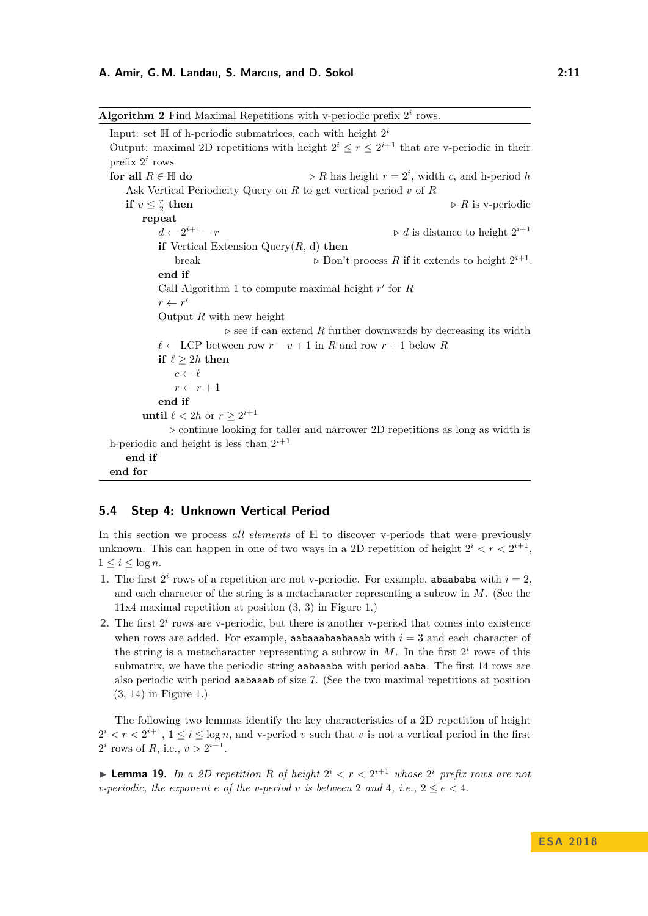<span id="page-10-1"></span>

| <b>Algorithm 2</b> Find Maximal Repetitions with v-periodic prefix $2i$ rows.                   |                                                                                              |  |  |  |  |  |
|-------------------------------------------------------------------------------------------------|----------------------------------------------------------------------------------------------|--|--|--|--|--|
| Input: set $\mathbb H$ of h-periodic submatrices, each with height $2^i$                        |                                                                                              |  |  |  |  |  |
| Output: maximal 2D repetitions with height $2^i \le r \le 2^{i+1}$ that are v-periodic in their |                                                                                              |  |  |  |  |  |
| prefix $2^i$ rows                                                                               |                                                                                              |  |  |  |  |  |
| for all $R \in \mathbb{H}$ do                                                                   | $\triangleright R$ has height $r = 2^i$ , width c, and h-period h                            |  |  |  |  |  |
| Ask Vertical Periodicity Query on $R$ to get vertical period $v$ of $R$                         |                                                                                              |  |  |  |  |  |
| if $v \leq \frac{r}{2}$ then                                                                    | $\triangleright$ R is v-periodic                                                             |  |  |  |  |  |
| repeat                                                                                          |                                                                                              |  |  |  |  |  |
| $d \leftarrow 2^{i+1} - r$                                                                      | $\triangleright d$ is distance to height $2^{i+1}$                                           |  |  |  |  |  |
| if Vertical Extension Query $(R, d)$ then                                                       |                                                                                              |  |  |  |  |  |
| break                                                                                           | $\triangleright$ Don't process R if it extends to height $2^{i+1}$ .                         |  |  |  |  |  |
| end if                                                                                          |                                                                                              |  |  |  |  |  |
| Call Algorithm 1 to compute maximal height $r'$ for $R$                                         |                                                                                              |  |  |  |  |  |
| $r \leftarrow r'$                                                                               |                                                                                              |  |  |  |  |  |
| Output $R$ with new height                                                                      |                                                                                              |  |  |  |  |  |
|                                                                                                 | $\triangleright$ see if can extend R further downwards by decreasing its width               |  |  |  |  |  |
|                                                                                                 | $\ell \leftarrow \text{LCP}$ between row $r-v+1$ in $R$ and row $r+1$ below $R$              |  |  |  |  |  |
| if $\ell \geq 2h$ then                                                                          |                                                                                              |  |  |  |  |  |
| $c \leftarrow \ell$                                                                             |                                                                                              |  |  |  |  |  |
| $r \leftarrow r + 1$                                                                            |                                                                                              |  |  |  |  |  |
| end if                                                                                          |                                                                                              |  |  |  |  |  |
| until $\ell < 2h$ or $r \geq 2^{i+1}$                                                           |                                                                                              |  |  |  |  |  |
|                                                                                                 | $\triangleright$ continue looking for taller and narrower 2D repetitions as long as width is |  |  |  |  |  |
| h-periodic and height is less than $2^{i+1}$                                                    |                                                                                              |  |  |  |  |  |
| end if                                                                                          |                                                                                              |  |  |  |  |  |
| end for                                                                                         |                                                                                              |  |  |  |  |  |

### <span id="page-10-0"></span>**5.4 Step 4: Unknown Vertical Period**

In this section we process *all elements* of  $\mathbb H$  to discover v-periods that were previously unknown. This can happen in one of two ways in a 2D repetition of height  $2^i < r < 2^{i+1}$ ,  $1 \leq i \leq \log n$ .

- **1.** The first  $2^i$  rows of a repetition are not v-periodic. For example, abaababa with  $i = 2$ , and each character of the string is a metacharacter representing a subrow in *M*. (See the 11x4 maximal repetition at position (3, 3) in Figure [1.](#page-4-1))
- 2. The first  $2^i$  rows are v-periodic, but there is another v-period that comes into existence when rows are added. For example, **aabaaabaabaaba** with  $i = 3$  and each character of the string is a metacharacter representing a subrow in  $M$ . In the first  $2^i$  rows of this submatrix, we have the periodic string aabaaaba with period aaba. The first 14 rows are also periodic with period aabaaab of size 7. (See the two maximal repetitions at position (3, 14) in Figure [1.](#page-4-1))

The following two lemmas identify the key characteristics of a 2D repetition of height  $2^{i} < r < 2^{i+1}$ ,  $1 \leq i \leq \log n$ , and v-period *v* such that *v* is not a vertical period in the first  $2^i$  rows of *R*, i.e.,  $v > 2^{i-1}$ .

<span id="page-10-2"></span>**Lemma 19.** In a 2D repetition R of height  $2^i < r < 2^{i+1}$  whose  $2^i$  prefix rows are not *v-periodic, the exponent e of the v-period v is between* 2 and 4, *i.e.*,  $2 \le e \le 4$ *.*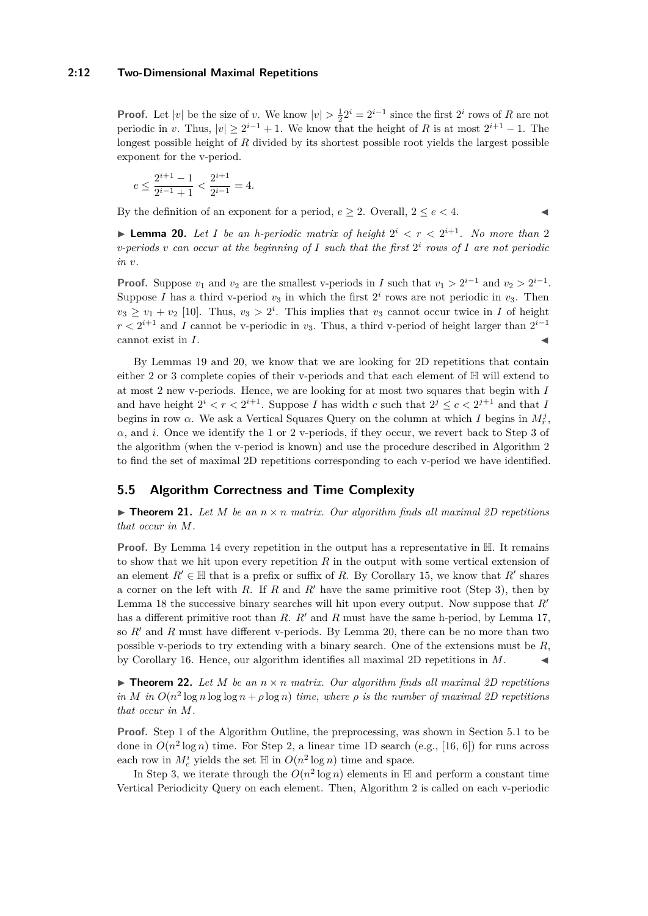#### **2:12 Two-Dimensional Maximal Repetitions**

**Proof.** Let  $|v|$  be the size of *v*. We know  $|v| > \frac{1}{2}2^i = 2^{i-1}$  since the first  $2^i$  rows of *R* are not periodic in *v*. Thus,  $|v| \geq 2^{i-1} + 1$ . We know that the height of *R* is at most  $2^{i+1} - 1$ . The longest possible height of *R* divided by its shortest possible root yields the largest possible exponent for the v-period.

$$
e\leq \frac{2^{i+1}-1}{2^{i-1}+1}<\frac{2^{i+1}}{2^{i-1}}=4.
$$

By the definition of an exponent for a period,  $e \geq 2$ . Overall,  $2 \leq e \leq 4$ .

<span id="page-11-0"></span>**Lemma 20.** Let I be an h-periodic matrix of height  $2^i < r < 2^{i+1}$ . No more than 2 *v*-periods *v* can occur at the beginning of  $I$  such that the first  $2^i$  rows of  $I$  are not periodic *in v.*

**Proof.** Suppose  $v_1$  and  $v_2$  are the smallest v-periods in *I* such that  $v_1 > 2^{i-1}$  and  $v_2 > 2^{i-1}$ . Suppose *I* has a third v-period  $v_3$  in which the first  $2^i$  rows are not periodic in  $v_3$ . Then  $v_3 \ge v_1 + v_2$  [\[10\]](#page-12-13). Thus,  $v_3 > 2^i$ . This implies that  $v_3$  cannot occur twice in *I* of height  $r < 2^{i+1}$  and *I* cannot be v-periodic in  $v_3$ . Thus, a third v-period of height larger than  $2^{i-1}$ cannot exist in  $I$ .

By Lemmas [19](#page-10-2) and [20,](#page-11-0) we know that we are looking for 2D repetitions that contain either 2 or 3 complete copies of their v-periods and that each element of H will extend to at most 2 new v-periods. Hence, we are looking for at most two squares that begin with *I* and have height  $2^{i} < r < 2^{i+1}$ . Suppose *I* has width *c* such that  $2^{j} \leq c < 2^{j+1}$  and that *I* begins in row  $\alpha$ . We ask a Vertical Squares Query on the column at which *I* begins in  $M_r^j$ , *α*, and *i*. Once we identify the 1 or 2 v-periods, if they occur, we revert back to Step 3 of the algorithm (when the v-period is known) and use the procedure described in Algorithm [2](#page-10-1) to find the set of maximal 2D repetitions corresponding to each v-period we have identified.

### **5.5 Algorithm Correctness and Time Complexity**

 $\triangleright$  **Theorem 21.** Let M be an  $n \times n$  matrix. Our algorithm finds all maximal 2D repetitions *that occur in M.*

**Proof.** By Lemma [14](#page-7-0) every repetition in the output has a representative in  $\mathbb{H}$ . It remains to show that we hit upon every repetition *R* in the output with some vertical extension of an element  $R' \in \mathbb{H}$  that is a prefix or suffix of R. By Corollary [15,](#page-8-3) we know that  $R'$  shares a corner on the left with *R*. If *R* and  $R'$  have the same primitive root (Step 3), then by Lemma [18](#page-9-1) the successive binary searches will hit upon every output. Now suppose that *R*<sup>0</sup> has a different primitive root than *R*. *R'* and *R* must have the same h-period, by Lemma [17,](#page-8-4) so  $R'$  and  $R$  must have different v-periods. By Lemma [20,](#page-11-0) there can be no more than two possible v-periods to try extending with a binary search. One of the extensions must be *R*, by Corollary [16.](#page-8-0) Hence, our algorithm identifies all maximal 2D repetitions in  $M$ .

 $\triangleright$  **Theorem 22.** Let M be an  $n \times n$  matrix. Our algorithm finds all maximal 2D repetitions *in M in*  $O(n^2 \log n \log \log n + \rho \log n)$  *time, where*  $\rho$  *is the number of maximal 2D repetitions that occur in M.*

**Proof.** Step 1 of the Algorithm Outline, the preprocessing, was shown in Section [5.1](#page-5-1) to be done in  $O(n^2 \log n)$  time. For Step 2, a linear time 1D search (e.g., [\[16,](#page-13-1) [6\]](#page-12-1)) for runs across each row in  $M_c^i$  yields the set  $\mathbb H$  in  $O(n^2 \log n)$  time and space.

In Step 3, we iterate through the  $O(n^2 \log n)$  elements in  $\mathbb{H}$  and perform a constant time Vertical Periodicity Query on each element. Then, Algorithm [2](#page-10-1) is called on each v-periodic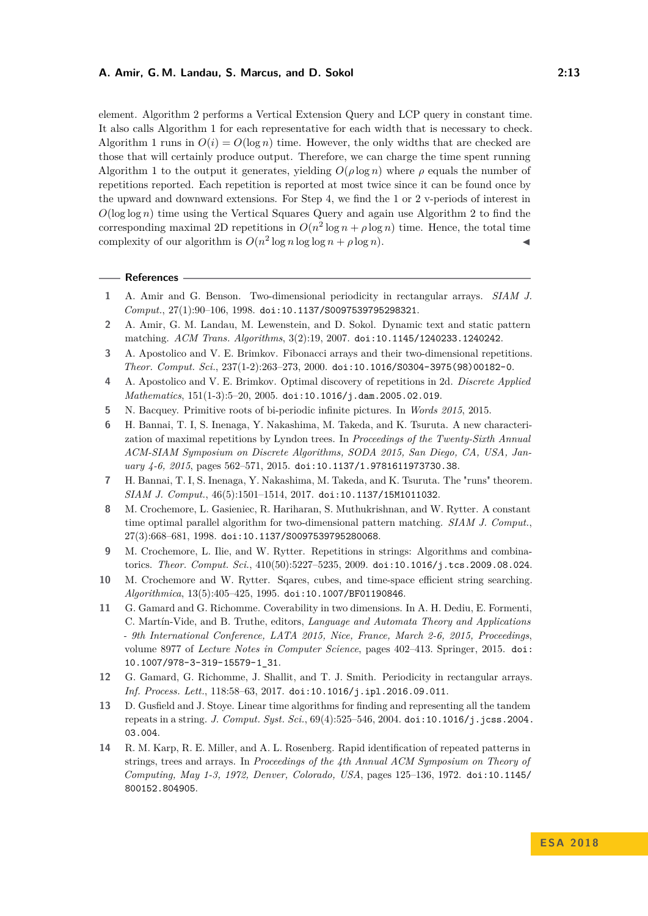element. Algorithm [2](#page-10-1) performs a Vertical Extension Query and LCP query in constant time. It also calls Algorithm [1](#page-9-0) for each representative for each width that is necessary to check. Algorithm [1](#page-9-0) runs in  $O(i) = O(\log n)$  time. However, the only widths that are checked are those that will certainly produce output. Therefore, we can charge the time spent running Algorithm [1](#page-9-0) to the output it generates, yielding  $O(\rho \log n)$  where  $\rho$  equals the number of repetitions reported. Each repetition is reported at most twice since it can be found once by the upward and downward extensions. For Step 4, we find the 1 or 2 v-periods of interest in  $O(\log \log n)$  time using the Vertical Squares Query and again use Algorithm [2](#page-10-1) to find the corresponding maximal 2D repetitions in  $O(n^2 \log n + \rho \log n)$  time. Hence, the total time complexity of our algorithm is  $O(n^2 \log n \log \log n + \rho \log n)$ .

#### **References**

- <span id="page-12-4"></span>**1** A. Amir and G. Benson. Two-dimensional periodicity in rectangular arrays. *SIAM J. Comput.*, 27(1):90–106, 1998. [doi:10.1137/S0097539795298321](http://dx.doi.org/10.1137/S0097539795298321).
- <span id="page-12-12"></span>**2** A. Amir, G. M. Landau, M. Lewenstein, and D. Sokol. Dynamic text and static pattern matching. *ACM Trans. Algorithms*, 3(2):19, 2007. [doi:10.1145/1240233.1240242](http://dx.doi.org/10.1145/1240233.1240242).
- <span id="page-12-2"></span>**3** A. Apostolico and V. E. Brimkov. Fibonacci arrays and their two-dimensional repetitions. *Theor. Comput. Sci.*, 237(1-2):263–273, 2000. [doi:10.1016/S0304-3975\(98\)00182-0](http://dx.doi.org/10.1016/S0304-3975(98)00182-0).
- <span id="page-12-3"></span>**4** A. Apostolico and V. E. Brimkov. Optimal discovery of repetitions in 2d. *Discrete Applied Mathematics*, 151(1-3):5–20, 2005. [doi:10.1016/j.dam.2005.02.019](http://dx.doi.org/10.1016/j.dam.2005.02.019).
- <span id="page-12-5"></span>**5** N. Bacquey. Primitive roots of bi-periodic infinite pictures. In *Words 2015*, 2015.
- <span id="page-12-1"></span>**6** H. Bannai, T. I, S. Inenaga, Y. Nakashima, M. Takeda, and K. Tsuruta. A new characterization of maximal repetitions by Lyndon trees. In *Proceedings of the Twenty-Sixth Annual ACM-SIAM Symposium on Discrete Algorithms, SODA 2015, San Diego, CA, USA, January 4-6, 2015*, pages 562–571, 2015. [doi:10.1137/1.9781611973730.38](http://dx.doi.org/10.1137/1.9781611973730.38).
- <span id="page-12-10"></span>**7** H. Bannai, T. I, S. Inenaga, Y. Nakashima, M. Takeda, and K. Tsuruta. The "runs" theorem. *SIAM J. Comput.*, 46(5):1501–1514, 2017. [doi:10.1137/15M1011032](http://dx.doi.org/10.1137/15M1011032).
- <span id="page-12-8"></span>**8** M. Crochemore, L. Gasieniec, R. Hariharan, S. Muthukrishnan, and W. Rytter. A constant time optimal parallel algorithm for two-dimensional pattern matching. *SIAM J. Comput.*, 27(3):668–681, 1998. [doi:10.1137/S0097539795280068](http://dx.doi.org/10.1137/S0097539795280068).
- <span id="page-12-0"></span>**9** M. Crochemore, L. Ilie, and W. Rytter. Repetitions in strings: Algorithms and combinatorics. *Theor. Comput. Sci.*, 410(50):5227–5235, 2009. [doi:10.1016/j.tcs.2009.08.024](http://dx.doi.org/10.1016/j.tcs.2009.08.024).
- <span id="page-12-13"></span>**10** M. Crochemore and W. Rytter. Sqares, cubes, and time-space efficient string searching. *Algorithmica*, 13(5):405–425, 1995. [doi:10.1007/BF01190846](http://dx.doi.org/10.1007/BF01190846).
- <span id="page-12-6"></span>**11** G. Gamard and G. Richomme. Coverability in two dimensions. In A. H. Dediu, E. Formenti, C. Martín-Vide, and B. Truthe, editors, *Language and Automata Theory and Applications - 9th International Conference, LATA 2015, Nice, France, March 2-6, 2015, Proceedings*, volume 8977 of *Lecture Notes in Computer Science*, pages 402–413. Springer, 2015. [doi:](http://dx.doi.org/10.1007/978-3-319-15579-1_31) [10.1007/978-3-319-15579-1\\_31](http://dx.doi.org/10.1007/978-3-319-15579-1_31).
- <span id="page-12-7"></span>**12** G. Gamard, G. Richomme, J. Shallit, and T. J. Smith. Periodicity in rectangular arrays. *Inf. Process. Lett.*, 118:58–63, 2017. [doi:10.1016/j.ipl.2016.09.011](http://dx.doi.org/10.1016/j.ipl.2016.09.011).
- <span id="page-12-11"></span>**13** D. Gusfield and J. Stoye. Linear time algorithms for finding and representing all the tandem repeats in a string. *J. Comput. Syst. Sci.*, 69(4):525–546, 2004. [doi:10.1016/j.jcss.2004.](http://dx.doi.org/10.1016/j.jcss.2004.03.004) [03.004](http://dx.doi.org/10.1016/j.jcss.2004.03.004).
- <span id="page-12-9"></span>**14** R. M. Karp, R. E. Miller, and A. L. Rosenberg. Rapid identification of repeated patterns in strings, trees and arrays. In *Proceedings of the 4th Annual ACM Symposium on Theory of Computing, May 1-3, 1972, Denver, Colorado, USA*, pages 125–136, 1972. [doi:10.1145/](http://dx.doi.org/10.1145/800152.804905) [800152.804905](http://dx.doi.org/10.1145/800152.804905).